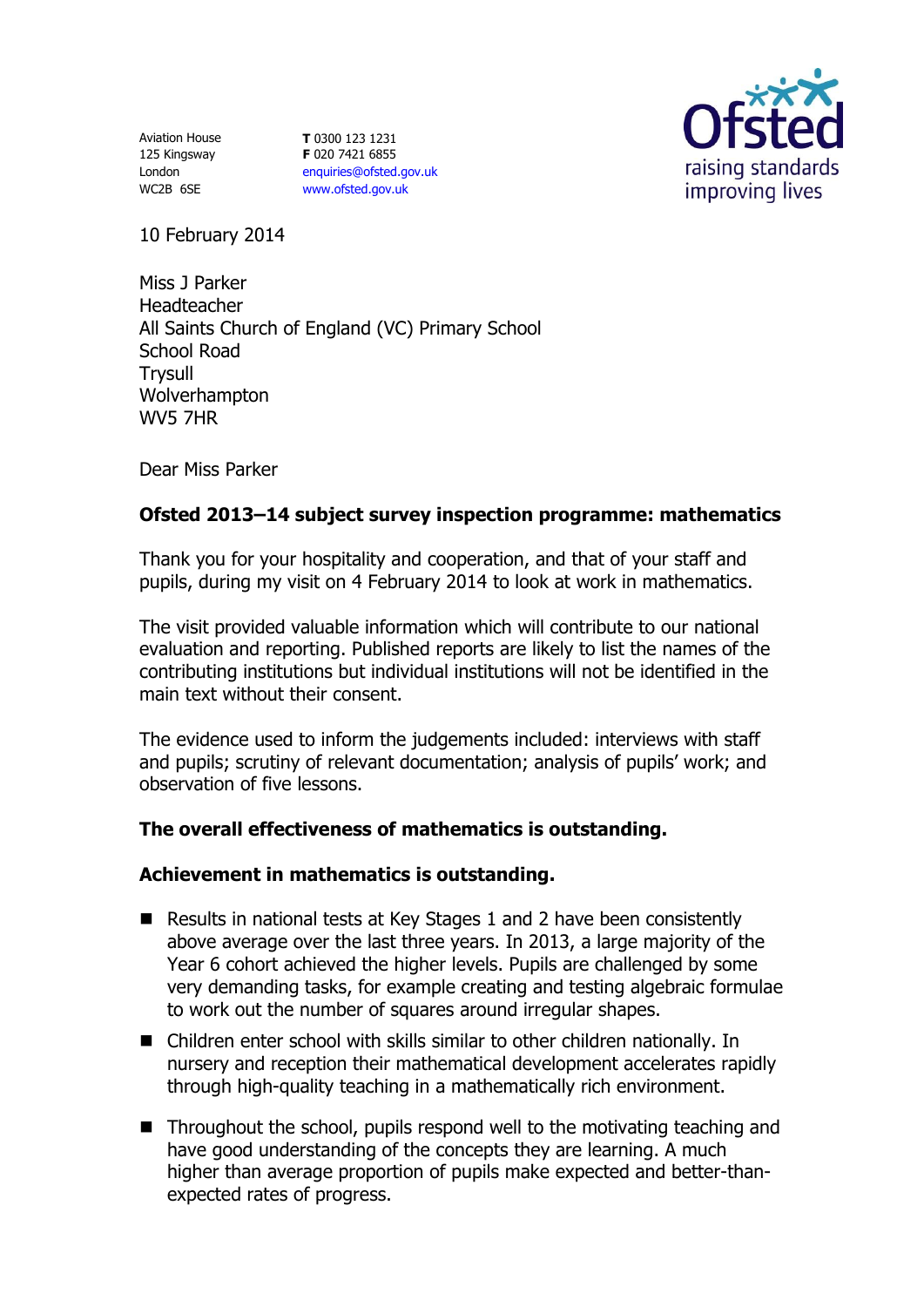Aviation House 125 Kingsway London WC2B 6SE

**T** 0300 123 1231 **F** 020 7421 6855 [enquiries@ofsted.gov.uk](mailto:enquiries@ofsted.gov.uk) [www.ofsted.gov.uk](http://www.ofsted.gov.uk/)



10 February 2014

Miss J Parker Headteacher All Saints Church of England (VC) Primary School School Road **Trysull** Wolverhampton WV5 7HR

Dear Miss Parker

# **Ofsted 2013–14 subject survey inspection programme: mathematics**

Thank you for your hospitality and cooperation, and that of your staff and pupils, during my visit on 4 February 2014 to look at work in mathematics.

The visit provided valuable information which will contribute to our national evaluation and reporting. Published reports are likely to list the names of the contributing institutions but individual institutions will not be identified in the main text without their consent

The evidence used to inform the judgements included: interviews with staff and pupils; scrutiny of relevant documentation; analysis of pupils' work; and observation of five lessons.

# **The overall effectiveness of mathematics is outstanding.**

### **Achievement in mathematics is outstanding.**

- Results in national tests at Key Stages 1 and 2 have been consistently above average over the last three years. In 2013, a large majority of the Year 6 cohort achieved the higher levels. Pupils are challenged by some very demanding tasks, for example creating and testing algebraic formulae to work out the number of squares around irregular shapes.
- Children enter school with skills similar to other children nationally. In nursery and reception their mathematical development accelerates rapidly through high-quality teaching in a mathematically rich environment.
- Throughout the school, pupils respond well to the motivating teaching and have good understanding of the concepts they are learning. A much higher than average proportion of pupils make expected and better-thanexpected rates of progress.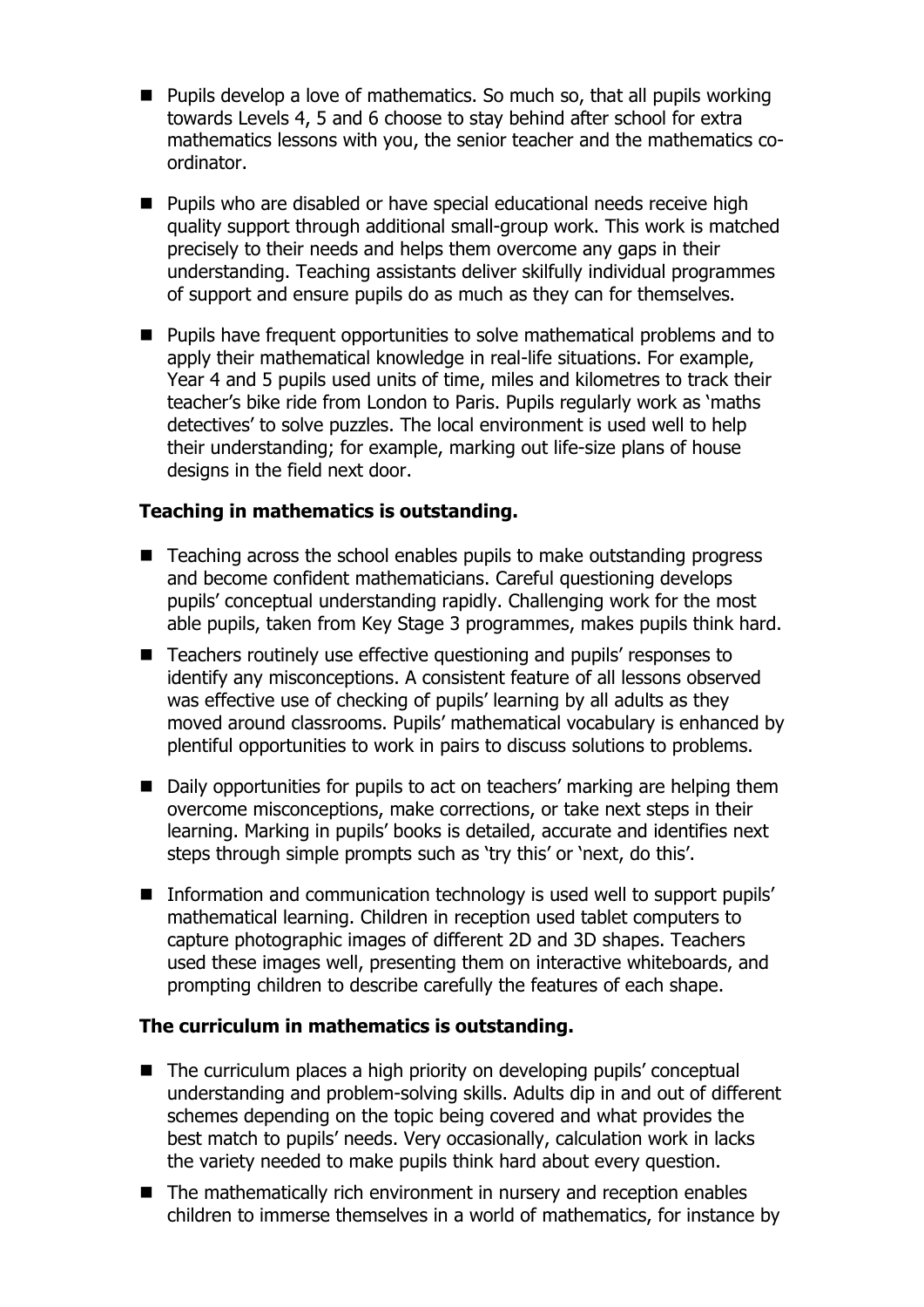- Pupils develop a love of mathematics. So much so, that all pupils working towards Levels 4, 5 and 6 choose to stay behind after school for extra mathematics lessons with you, the senior teacher and the mathematics coordinator.
- **Pupils who are disabled or have special educational needs receive high** quality support through additional small-group work. This work is matched precisely to their needs and helps them overcome any gaps in their understanding. Teaching assistants deliver skilfully individual programmes of support and ensure pupils do as much as they can for themselves.
- Pupils have frequent opportunities to solve mathematical problems and to apply their mathematical knowledge in real-life situations. For example, Year 4 and 5 pupils used units of time, miles and kilometres to track their teacher's bike ride from London to Paris. Pupils regularly work as 'maths detectives' to solve puzzles. The local environment is used well to help their understanding; for example, marking out life-size plans of house designs in the field next door.

## **Teaching in mathematics is outstanding.**

- Teaching across the school enables pupils to make outstanding progress and become confident mathematicians. Careful questioning develops pupils' conceptual understanding rapidly. Challenging work for the most able pupils, taken from Key Stage 3 programmes, makes pupils think hard.
- Teachers routinely use effective questioning and pupils' responses to identify any misconceptions. A consistent feature of all lessons observed was effective use of checking of pupils' learning by all adults as they moved around classrooms. Pupils' mathematical vocabulary is enhanced by plentiful opportunities to work in pairs to discuss solutions to problems.
- Daily opportunities for pupils to act on teachers' marking are helping them overcome misconceptions, make corrections, or take next steps in their learning. Marking in pupils' books is detailed, accurate and identifies next steps through simple prompts such as 'try this' or 'next, do this'.
- **Information and communication technology is used well to support pupils'** mathematical learning. Children in reception used tablet computers to capture photographic images of different 2D and 3D shapes. Teachers used these images well, presenting them on interactive whiteboards, and prompting children to describe carefully the features of each shape.

### **The curriculum in mathematics is outstanding.**

- The curriculum places a high priority on developing pupils' conceptual understanding and problem-solving skills. Adults dip in and out of different schemes depending on the topic being covered and what provides the best match to pupils' needs. Very occasionally, calculation work in lacks the variety needed to make pupils think hard about every question.
- The mathematically rich environment in nursery and reception enables children to immerse themselves in a world of mathematics, for instance by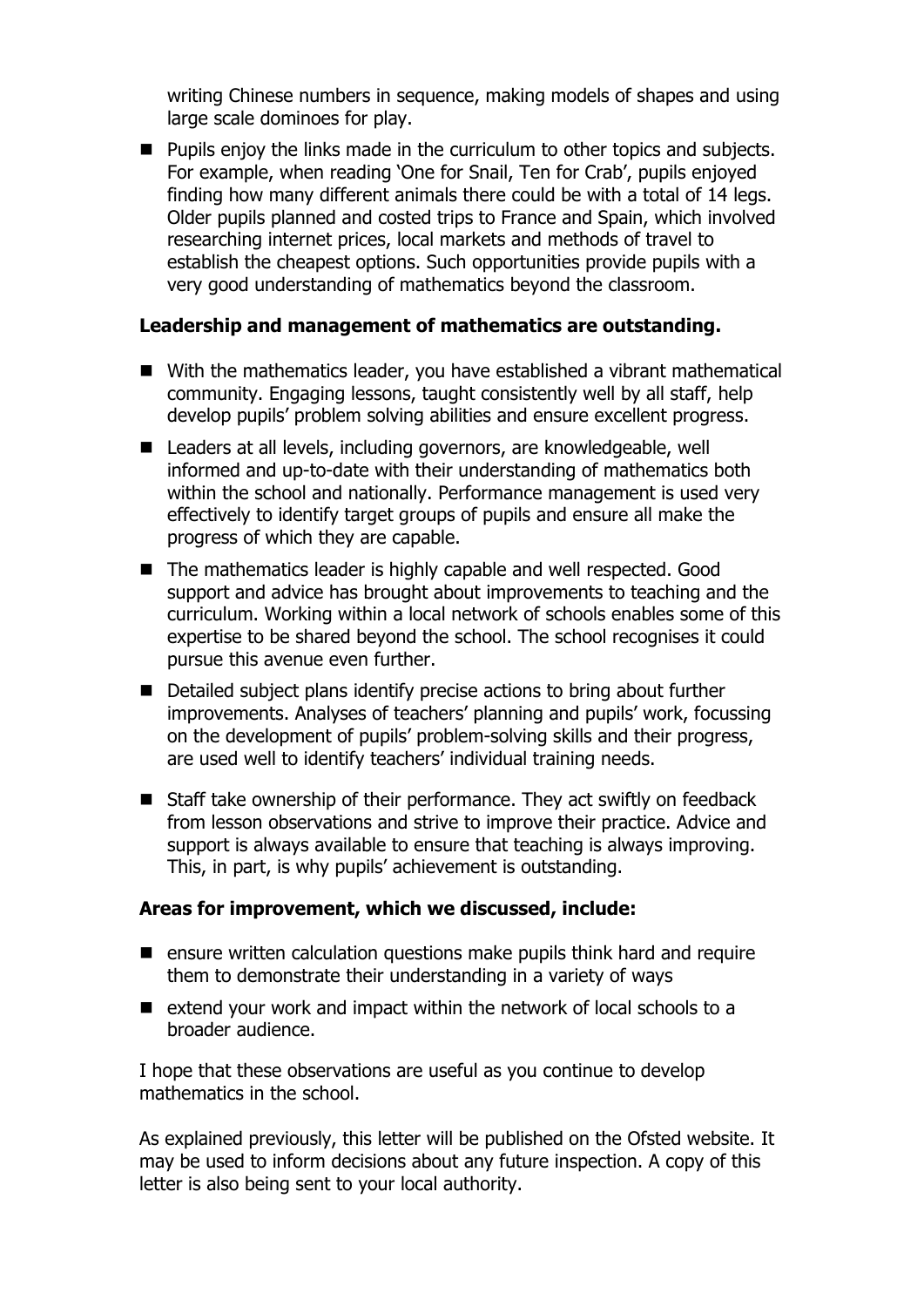writing Chinese numbers in sequence, making models of shapes and using large scale dominoes for play.

**Pupils enjoy the links made in the curriculum to other topics and subjects.** For example, when reading 'One for Snail, Ten for Crab', pupils enjoyed finding how many different animals there could be with a total of 14 legs. Older pupils planned and costed trips to France and Spain, which involved researching internet prices, local markets and methods of travel to establish the cheapest options. Such opportunities provide pupils with a very good understanding of mathematics beyond the classroom.

#### **Leadership and management of mathematics are outstanding.**

- With the mathematics leader, you have established a vibrant mathematical community. Engaging lessons, taught consistently well by all staff, help develop pupils' problem solving abilities and ensure excellent progress.
- Leaders at all levels, including governors, are knowledgeable, well informed and up-to-date with their understanding of mathematics both within the school and nationally. Performance management is used very effectively to identify target groups of pupils and ensure all make the progress of which they are capable.
- The mathematics leader is highly capable and well respected. Good support and advice has brought about improvements to teaching and the curriculum. Working within a local network of schools enables some of this expertise to be shared beyond the school. The school recognises it could pursue this avenue even further.
- Detailed subject plans identify precise actions to bring about further improvements. Analyses of teachers' planning and pupils' work, focussing on the development of pupils' problem-solving skills and their progress, are used well to identify teachers' individual training needs.
- Staff take ownership of their performance. They act swiftly on feedback from lesson observations and strive to improve their practice. Advice and support is always available to ensure that teaching is always improving. This, in part, is why pupils' achievement is outstanding.

#### **Areas for improvement, which we discussed, include:**

- $\blacksquare$  ensure written calculation questions make pupils think hard and require them to demonstrate their understanding in a variety of ways
- $\blacksquare$  extend your work and impact within the network of local schools to a broader audience.

I hope that these observations are useful as you continue to develop mathematics in the school.

As explained previously, this letter will be published on the Ofsted website. It may be used to inform decisions about any future inspection. A copy of this letter is also being sent to your local authority.